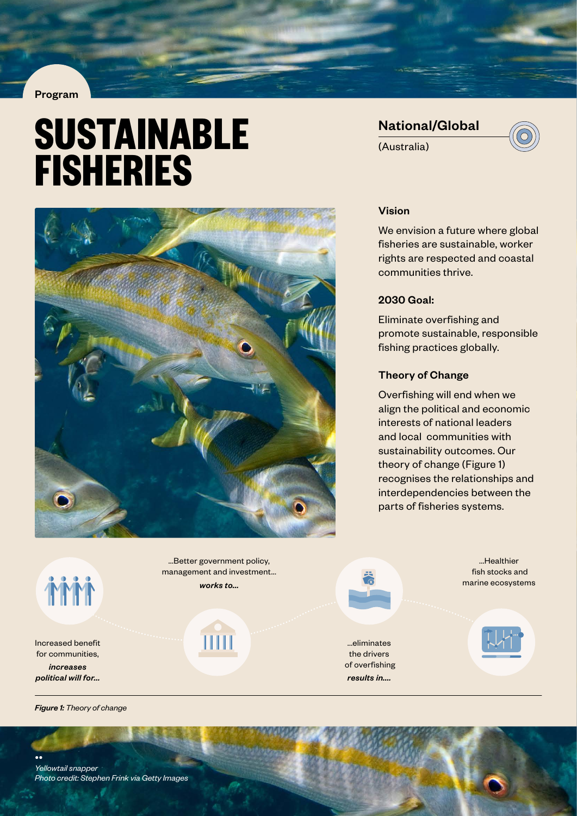#### Program

# **SUSTAINABLE FISHERIES**



National/Global (Australia)



#### Vision

We envision a future where global fisheries are sustainable, worker rights are respected and coastal communities thrive.

## 2030 Goal:

Eliminate overfishing and promote sustainable, responsible fishing practices globally.

#### Theory of Change

Overfishing will end when we align the political and economic interests of national leaders and local communities with sustainability outcomes. Our theory of change (Figure 1) recognises the relationships and interdependencies between the parts of fisheries systems.

**MM** 

Increased benefit for communities, *increases political will for...*

...Better government policy, management and investment... *works to...*

IIII

...eliminates the drivers of overfishing *results in....*

...Healthier fish stocks and marine ecosystems



*Figure 1: Theory of change*